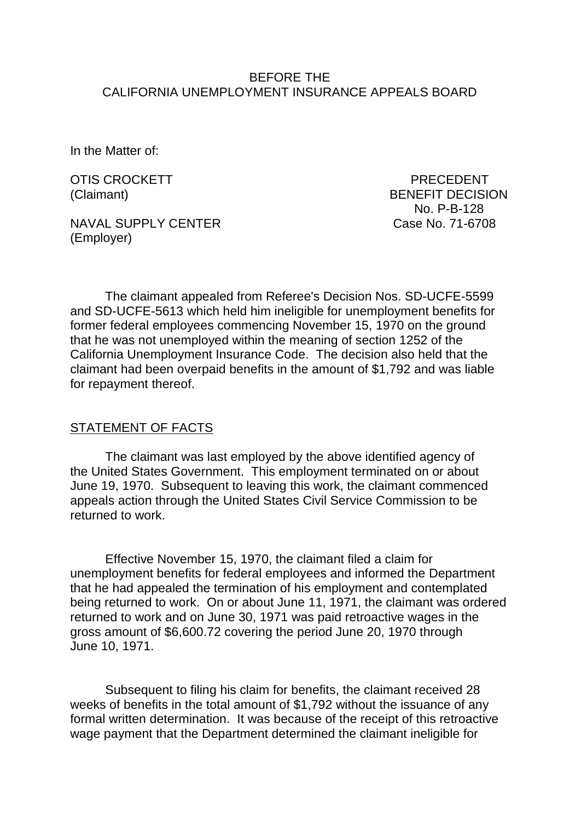#### BEFORE THE CALIFORNIA UNEMPLOYMENT INSURANCE APPEALS BOARD

In the Matter of:

OTIS CROCKETT AND RECEDENT

NAVAL SUPPLY CENTER Case No. 71-6708 (Employer)

(Claimant) BENEFIT DECISION No. P-B-128

The claimant appealed from Referee's Decision Nos. SD-UCFE-5599 and SD-UCFE-5613 which held him ineligible for unemployment benefits for former federal employees commencing November 15, 1970 on the ground that he was not unemployed within the meaning of section 1252 of the California Unemployment Insurance Code. The decision also held that the claimant had been overpaid benefits in the amount of \$1,792 and was liable for repayment thereof.

#### STATEMENT OF FACTS

The claimant was last employed by the above identified agency of the United States Government. This employment terminated on or about June 19, 1970. Subsequent to leaving this work, the claimant commenced appeals action through the United States Civil Service Commission to be returned to work.

Effective November 15, 1970, the claimant filed a claim for unemployment benefits for federal employees and informed the Department that he had appealed the termination of his employment and contemplated being returned to work. On or about June 11, 1971, the claimant was ordered returned to work and on June 30, 1971 was paid retroactive wages in the gross amount of \$6,600.72 covering the period June 20, 1970 through June 10, 1971.

Subsequent to filing his claim for benefits, the claimant received 28 weeks of benefits in the total amount of \$1,792 without the issuance of any formal written determination. It was because of the receipt of this retroactive wage payment that the Department determined the claimant ineligible for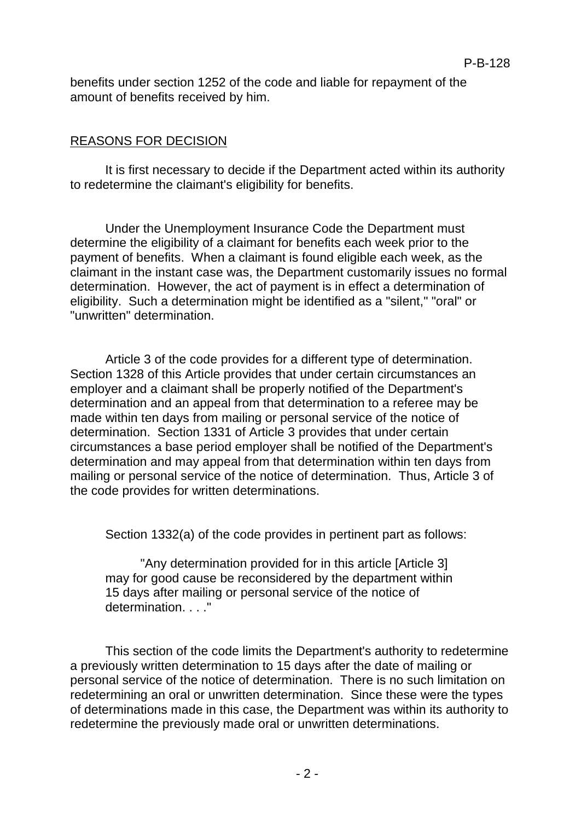benefits under section 1252 of the code and liable for repayment of the amount of benefits received by him.

## REASONS FOR DECISION

It is first necessary to decide if the Department acted within its authority to redetermine the claimant's eligibility for benefits.

Under the Unemployment Insurance Code the Department must determine the eligibility of a claimant for benefits each week prior to the payment of benefits. When a claimant is found eligible each week, as the claimant in the instant case was, the Department customarily issues no formal determination. However, the act of payment is in effect a determination of eligibility. Such a determination might be identified as a "silent," "oral" or "unwritten" determination.

Article 3 of the code provides for a different type of determination. Section 1328 of this Article provides that under certain circumstances an employer and a claimant shall be properly notified of the Department's determination and an appeal from that determination to a referee may be made within ten days from mailing or personal service of the notice of determination. Section 1331 of Article 3 provides that under certain circumstances a base period employer shall be notified of the Department's determination and may appeal from that determination within ten days from mailing or personal service of the notice of determination. Thus, Article 3 of the code provides for written determinations.

Section 1332(a) of the code provides in pertinent part as follows:

"Any determination provided for in this article [Article 3] may for good cause be reconsidered by the department within 15 days after mailing or personal service of the notice of determination. . . ."

This section of the code limits the Department's authority to redetermine a previously written determination to 15 days after the date of mailing or personal service of the notice of determination. There is no such limitation on redetermining an oral or unwritten determination. Since these were the types of determinations made in this case, the Department was within its authority to redetermine the previously made oral or unwritten determinations.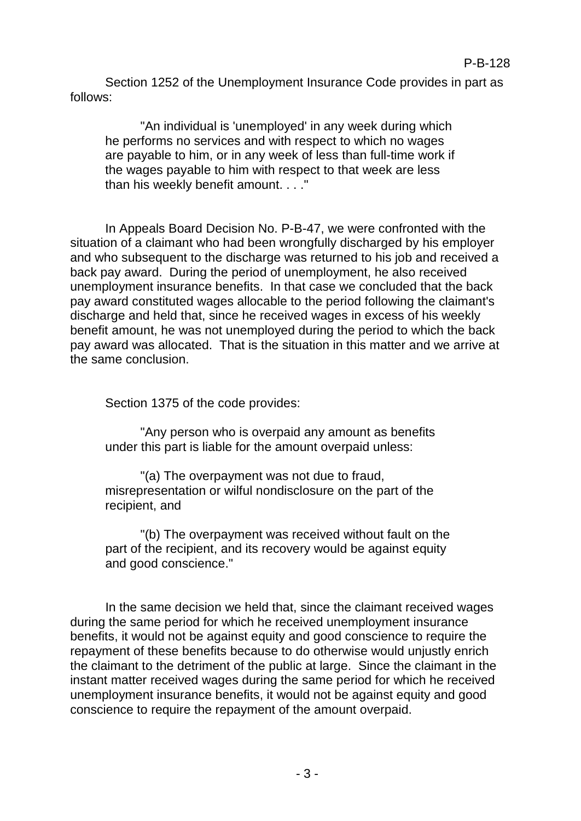Section 1252 of the Unemployment Insurance Code provides in part as follows:

"An individual is 'unemployed' in any week during which he performs no services and with respect to which no wages are payable to him, or in any week of less than full-time work if the wages payable to him with respect to that week are less than his weekly benefit amount. . . ."

In Appeals Board Decision No. P-B-47, we were confronted with the situation of a claimant who had been wrongfully discharged by his employer and who subsequent to the discharge was returned to his job and received a back pay award. During the period of unemployment, he also received unemployment insurance benefits. In that case we concluded that the back pay award constituted wages allocable to the period following the claimant's discharge and held that, since he received wages in excess of his weekly benefit amount, he was not unemployed during the period to which the back pay award was allocated. That is the situation in this matter and we arrive at the same conclusion.

Section 1375 of the code provides:

"Any person who is overpaid any amount as benefits under this part is liable for the amount overpaid unless:

"(a) The overpayment was not due to fraud, misrepresentation or wilful nondisclosure on the part of the recipient, and

"(b) The overpayment was received without fault on the part of the recipient, and its recovery would be against equity and good conscience."

In the same decision we held that, since the claimant received wages during the same period for which he received unemployment insurance benefits, it would not be against equity and good conscience to require the repayment of these benefits because to do otherwise would unjustly enrich the claimant to the detriment of the public at large. Since the claimant in the instant matter received wages during the same period for which he received unemployment insurance benefits, it would not be against equity and good conscience to require the repayment of the amount overpaid.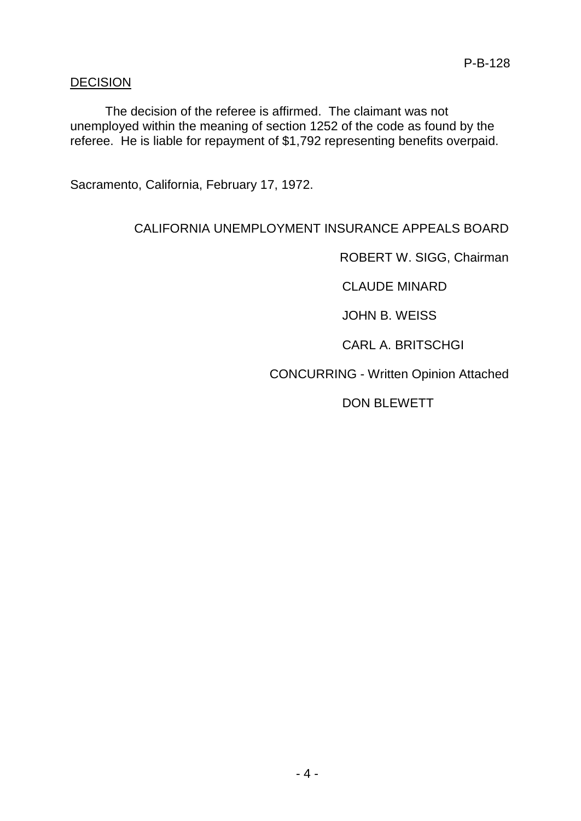### DECISION

The decision of the referee is affirmed. The claimant was not unemployed within the meaning of section 1252 of the code as found by the referee. He is liable for repayment of \$1,792 representing benefits overpaid.

Sacramento, California, February 17, 1972.

# CALIFORNIA UNEMPLOYMENT INSURANCE APPEALS BOARD

ROBERT W. SIGG, Chairman

CLAUDE MINARD

JOHN B. WEISS

CARL A. BRITSCHGI

CONCURRING - Written Opinion Attached

DON BLEWETT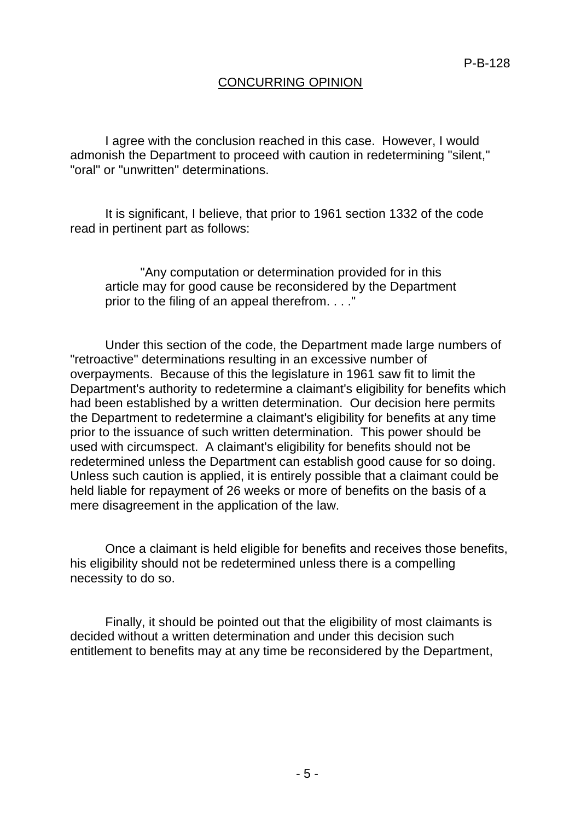### CONCURRING OPINION

I agree with the conclusion reached in this case. However, I would admonish the Department to proceed with caution in redetermining "silent," "oral" or "unwritten" determinations.

It is significant, I believe, that prior to 1961 section 1332 of the code read in pertinent part as follows:

"Any computation or determination provided for in this article may for good cause be reconsidered by the Department prior to the filing of an appeal therefrom. . . ."

Under this section of the code, the Department made large numbers of "retroactive" determinations resulting in an excessive number of overpayments. Because of this the legislature in 1961 saw fit to limit the Department's authority to redetermine a claimant's eligibility for benefits which had been established by a written determination. Our decision here permits the Department to redetermine a claimant's eligibility for benefits at any time prior to the issuance of such written determination. This power should be used with circumspect. A claimant's eligibility for benefits should not be redetermined unless the Department can establish good cause for so doing. Unless such caution is applied, it is entirely possible that a claimant could be held liable for repayment of 26 weeks or more of benefits on the basis of a mere disagreement in the application of the law.

Once a claimant is held eligible for benefits and receives those benefits, his eligibility should not be redetermined unless there is a compelling necessity to do so.

Finally, it should be pointed out that the eligibility of most claimants is decided without a written determination and under this decision such entitlement to benefits may at any time be reconsidered by the Department,